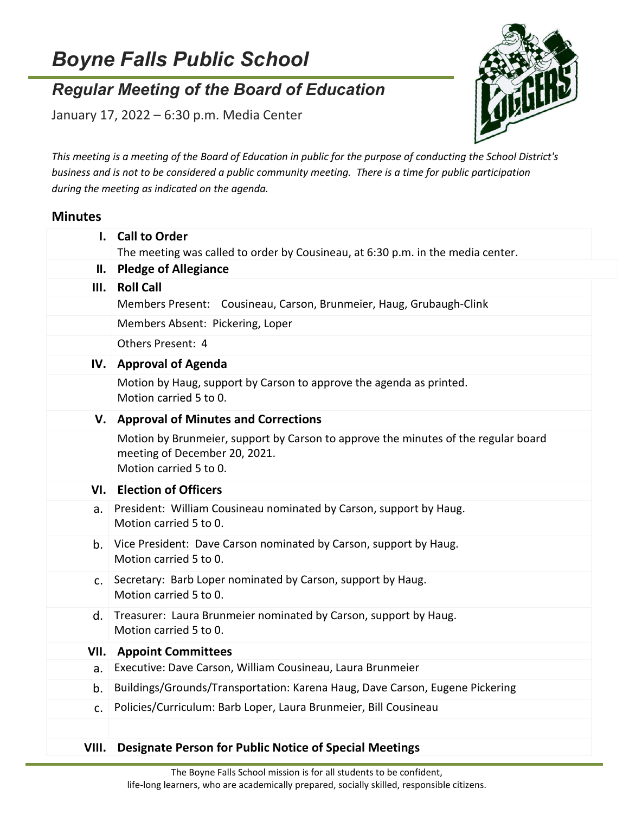## *Boyne Falls Public School*

## *Regular Meeting of the Board of Education*

January 17, 2022 – 6:30 p.m. Media Center



*This meeting is a meeting of the Board of Education in public for the purpose of conducting the School District's business and is not to be considered a public community meeting. There is a time for public participation during the meeting as indicated on the agenda.*

## **Minutes**

|                | I. Call to Order                                                                                                                              |
|----------------|-----------------------------------------------------------------------------------------------------------------------------------------------|
|                | The meeting was called to order by Cousineau, at 6:30 p.m. in the media center.                                                               |
|                | II. Pledge of Allegiance                                                                                                                      |
|                | III. Roll Call                                                                                                                                |
|                | Members Present: Cousineau, Carson, Brunmeier, Haug, Grubaugh-Clink                                                                           |
|                | Members Absent: Pickering, Loper                                                                                                              |
|                | Others Present: 4                                                                                                                             |
|                | IV. Approval of Agenda                                                                                                                        |
|                | Motion by Haug, support by Carson to approve the agenda as printed.<br>Motion carried 5 to 0.                                                 |
|                | V. Approval of Minutes and Corrections                                                                                                        |
|                | Motion by Brunmeier, support by Carson to approve the minutes of the regular board<br>meeting of December 20, 2021.<br>Motion carried 5 to 0. |
|                | VI. Election of Officers                                                                                                                      |
| а.             | President: William Cousineau nominated by Carson, support by Haug.<br>Motion carried 5 to 0.                                                  |
| b.             | Vice President: Dave Carson nominated by Carson, support by Haug.<br>Motion carried 5 to 0.                                                   |
| $\mathsf{C}$ . | Secretary: Barb Loper nominated by Carson, support by Haug.<br>Motion carried 5 to 0.                                                         |
| d.             | Treasurer: Laura Brunmeier nominated by Carson, support by Haug.<br>Motion carried 5 to 0.                                                    |
|                | <b>VII.</b> Appoint Committees                                                                                                                |
| a.             | Executive: Dave Carson, William Cousineau, Laura Brunmeier                                                                                    |
| b.             | Buildings/Grounds/Transportation: Karena Haug, Dave Carson, Eugene Pickering                                                                  |
| C <sub>1</sub> | Policies/Curriculum: Barb Loper, Laura Brunmeier, Bill Cousineau                                                                              |
|                |                                                                                                                                               |
| VIII.          | <b>Designate Person for Public Notice of Special Meetings</b>                                                                                 |
|                |                                                                                                                                               |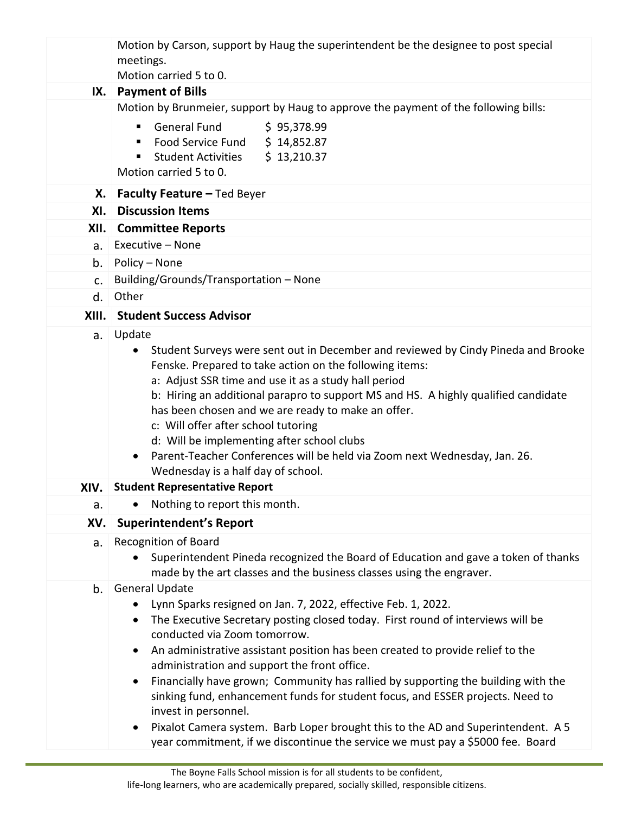|               | Motion by Carson, support by Haug the superintendent be the designee to post special<br>meetings.                                                                                                                                                                                                                                                                                                                                                                                                                                                                     |
|---------------|-----------------------------------------------------------------------------------------------------------------------------------------------------------------------------------------------------------------------------------------------------------------------------------------------------------------------------------------------------------------------------------------------------------------------------------------------------------------------------------------------------------------------------------------------------------------------|
|               | Motion carried 5 to 0.                                                                                                                                                                                                                                                                                                                                                                                                                                                                                                                                                |
| IX.           | <b>Payment of Bills</b>                                                                                                                                                                                                                                                                                                                                                                                                                                                                                                                                               |
|               | Motion by Brunmeier, support by Haug to approve the payment of the following bills:                                                                                                                                                                                                                                                                                                                                                                                                                                                                                   |
|               | <b>General Fund</b><br>\$95,378.99<br>٠<br>Food Service Fund \$ 14,852.87                                                                                                                                                                                                                                                                                                                                                                                                                                                                                             |
|               | \$13,210.37<br><b>Student Activities</b>                                                                                                                                                                                                                                                                                                                                                                                                                                                                                                                              |
|               | Motion carried 5 to 0.                                                                                                                                                                                                                                                                                                                                                                                                                                                                                                                                                |
| Х.            | <b>Faculty Feature - Ted Beyer</b>                                                                                                                                                                                                                                                                                                                                                                                                                                                                                                                                    |
| XI.           | <b>Discussion Items</b>                                                                                                                                                                                                                                                                                                                                                                                                                                                                                                                                               |
|               | XII. Committee Reports                                                                                                                                                                                                                                                                                                                                                                                                                                                                                                                                                |
| a.            | Executive - None                                                                                                                                                                                                                                                                                                                                                                                                                                                                                                                                                      |
| b.            | Policy - None                                                                                                                                                                                                                                                                                                                                                                                                                                                                                                                                                         |
| $C_{\bullet}$ | Building/Grounds/Transportation - None                                                                                                                                                                                                                                                                                                                                                                                                                                                                                                                                |
| d.            | Other                                                                                                                                                                                                                                                                                                                                                                                                                                                                                                                                                                 |
|               | XIII. Student Success Advisor                                                                                                                                                                                                                                                                                                                                                                                                                                                                                                                                         |
|               | Student Surveys were sent out in December and reviewed by Cindy Pineda and Brooke<br>$\bullet$<br>Fenske. Prepared to take action on the following items:<br>a: Adjust SSR time and use it as a study hall period<br>b: Hiring an additional parapro to support MS and HS. A highly qualified candidate<br>has been chosen and we are ready to make an offer.<br>c: Will offer after school tutoring<br>d: Will be implementing after school clubs<br>Parent-Teacher Conferences will be held via Zoom next Wednesday, Jan. 26.<br>Wednesday is a half day of school. |
| XIV.          | <b>Student Representative Report</b>                                                                                                                                                                                                                                                                                                                                                                                                                                                                                                                                  |
| a.            | Nothing to report this month.                                                                                                                                                                                                                                                                                                                                                                                                                                                                                                                                         |
| XV.           | <b>Superintendent's Report</b>                                                                                                                                                                                                                                                                                                                                                                                                                                                                                                                                        |
| a.            | <b>Recognition of Board</b><br>Superintendent Pineda recognized the Board of Education and gave a token of thanks                                                                                                                                                                                                                                                                                                                                                                                                                                                     |
|               | made by the art classes and the business classes using the engraver.                                                                                                                                                                                                                                                                                                                                                                                                                                                                                                  |
| b.            | <b>General Update</b>                                                                                                                                                                                                                                                                                                                                                                                                                                                                                                                                                 |
|               | Lynn Sparks resigned on Jan. 7, 2022, effective Feb. 1, 2022.                                                                                                                                                                                                                                                                                                                                                                                                                                                                                                         |
|               | The Executive Secretary posting closed today. First round of interviews will be<br>٠                                                                                                                                                                                                                                                                                                                                                                                                                                                                                  |
|               | conducted via Zoom tomorrow.<br>An administrative assistant position has been created to provide relief to the<br>$\bullet$                                                                                                                                                                                                                                                                                                                                                                                                                                           |
|               | administration and support the front office.                                                                                                                                                                                                                                                                                                                                                                                                                                                                                                                          |
|               | Financially have grown; Community has rallied by supporting the building with the<br>$\bullet$                                                                                                                                                                                                                                                                                                                                                                                                                                                                        |
|               | sinking fund, enhancement funds for student focus, and ESSER projects. Need to                                                                                                                                                                                                                                                                                                                                                                                                                                                                                        |
|               | invest in personnel.                                                                                                                                                                                                                                                                                                                                                                                                                                                                                                                                                  |
|               | Pixalot Camera system. Barb Loper brought this to the AD and Superintendent. A 5<br>$\bullet$<br>year commitment, if we discontinue the service we must pay a \$5000 fee. Board                                                                                                                                                                                                                                                                                                                                                                                       |